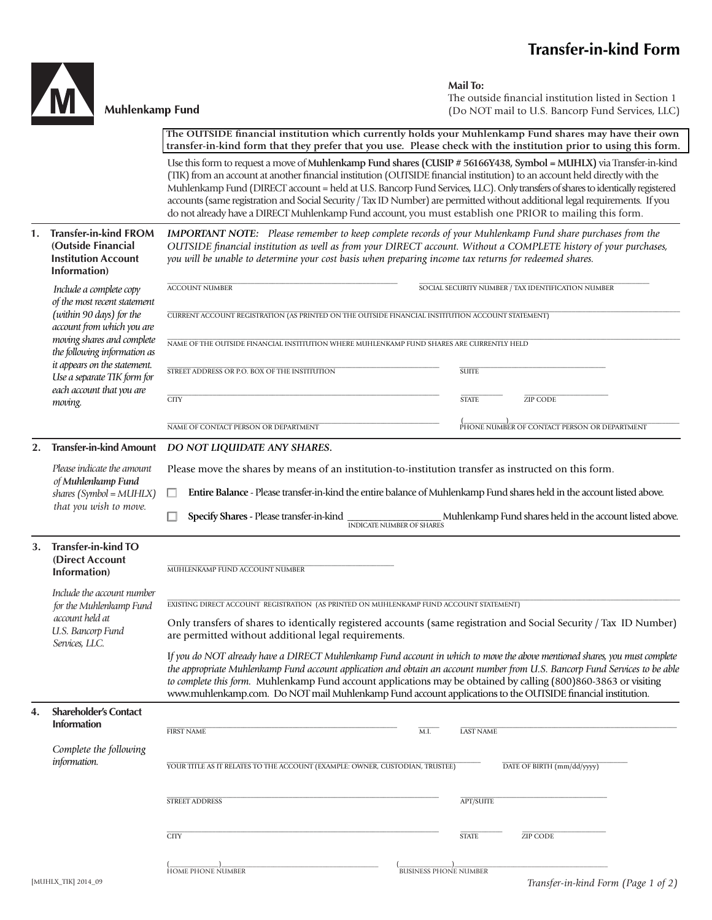## **Transfer-in-kind Form**



## **Muhlenkamp Fund**

**Mail To:**

The outside financial institution listed in Section 1 (Do NOT mail to U.S. Bancorp Fund Services, LLC)

The OUTSIDE financial institution which currently holds your Muhlenkamp Fund shares may have their own  **transfer-in-kind form that they prefer that you use. Please check with the institution prior to using this form.** 

Use this form to request a move of **Muhlenkamp Fund shares (CUSIP # 56166Y438, Symbol = MUHLX)** via Transfer-in-kind (TIK) from an account at another financial institution (OUTSIDE financial institution) to an account held directly with the Muhlenkamp Fund (DIRECT account = held at U.S. Bancorp Fund Services, LLC). Only transfers of shares to identically registered accounts (same registration and Social Security / Tax ID Number) are permitted without additional legal requirements. If you do not already have a DIRECT Muhlenkamp Fund account, you must establish one PRIOR to mailing this form.

|    |                                                                                                                                                      | do noi ancady navé a Dhuben ividinémiament und account, you must establism one i twore to maning tins form.                                                                                                                                                                                                                                    |                                  |                  |                                                                                                                                                                                                                                                           |  |
|----|------------------------------------------------------------------------------------------------------------------------------------------------------|------------------------------------------------------------------------------------------------------------------------------------------------------------------------------------------------------------------------------------------------------------------------------------------------------------------------------------------------|----------------------------------|------------------|-----------------------------------------------------------------------------------------------------------------------------------------------------------------------------------------------------------------------------------------------------------|--|
| 1. | <b>Transfer-in-kind FROM</b><br>(Outside Financial<br><b>Institution Account</b><br>Information)                                                     | <b>IMPORTANT NOTE:</b> Please remember to keep complete records of your Muhlenkamp Fund share purchases from the<br>OUTSIDE financial institution as well as from your DIRECT account. Without a COMPLETE history of your purchases,<br>you will be unable to determine your cost basis when preparing income tax returns for redeemed shares. |                                  |                  |                                                                                                                                                                                                                                                           |  |
|    | Include a complete copy                                                                                                                              | <b>ACCOUNT NUMBER</b>                                                                                                                                                                                                                                                                                                                          |                                  |                  | SOCIAL SECURITY NUMBER / TAX IDENTIFICATION NUMBER                                                                                                                                                                                                        |  |
|    | of the most recent statement<br>(within 90 days) for the<br>account from which you are<br>moving shares and complete<br>the following information as | CURRENT ACCOUNT REGISTRATION (AS PRINTED ON THE OUTSIDE FINANCIAL INSTITUTION ACCOUNT STATEMENT)                                                                                                                                                                                                                                               |                                  |                  |                                                                                                                                                                                                                                                           |  |
|    |                                                                                                                                                      | NAME OF THE OUTSIDE FINANCIAL INSTITUTION WHERE MUHLENKAMP FUND SHARES ARE CURRENTLY HELD                                                                                                                                                                                                                                                      |                                  |                  |                                                                                                                                                                                                                                                           |  |
|    | it appears on the statement.<br>Use a separate TIK form for<br>each account that you are                                                             | STREET ADDRESS OR P.O. BOX OF THE INSTITUTION                                                                                                                                                                                                                                                                                                  |                                  | <b>SUITE</b>     |                                                                                                                                                                                                                                                           |  |
|    | moving.                                                                                                                                              | <b>CITY</b>                                                                                                                                                                                                                                                                                                                                    |                                  | <b>STATE</b>     | <b>ZIP CODE</b>                                                                                                                                                                                                                                           |  |
|    |                                                                                                                                                      | NAME OF CONTACT PERSON OR DEPARTMENT                                                                                                                                                                                                                                                                                                           |                                  |                  | PHONE NUMBER OF CONTACT PERSON OR DEPARTMENT                                                                                                                                                                                                              |  |
| 2. | <b>Transfer-in-kind Amount</b>                                                                                                                       | DO NOT LIQUIDATE ANY SHARES.                                                                                                                                                                                                                                                                                                                   |                                  |                  |                                                                                                                                                                                                                                                           |  |
|    | Please indicate the amount                                                                                                                           | Please move the shares by means of an institution-to-institution transfer as instructed on this form.                                                                                                                                                                                                                                          |                                  |                  |                                                                                                                                                                                                                                                           |  |
|    | of Muhlenkamp Fund<br>$shares$ (Symbol = MUHLX)                                                                                                      | Entire Balance - Please transfer-in-kind the entire balance of Muhlenkamp Fund shares held in the account listed above.                                                                                                                                                                                                                        |                                  |                  |                                                                                                                                                                                                                                                           |  |
|    | that you wish to move.                                                                                                                               | Specify Shares - Please transfer-in-kind                                                                                                                                                                                                                                                                                                       | <b>INDICATE NUMBER OF SHARES</b> |                  | Muhlenkamp Fund shares held in the account listed above.                                                                                                                                                                                                  |  |
| 3. | <b>Transfer-in-kind TO</b><br>(Direct Account<br>Information)                                                                                        | MUHLENKAMP FUND ACCOUNT NUMBER                                                                                                                                                                                                                                                                                                                 |                                  |                  |                                                                                                                                                                                                                                                           |  |
|    | Include the account number<br>for the Muhlenkamp Fund                                                                                                | EXISTING DIRECT ACCOUNT REGISTRATION (AS PRINTED ON MUHLENKAMP FUND ACCOUNT STATEMENT)                                                                                                                                                                                                                                                         |                                  |                  |                                                                                                                                                                                                                                                           |  |
|    | account held at<br>U.S. Bancorp Fund<br>Services, LLC.                                                                                               | Only transfers of shares to identically registered accounts (same registration and Social Security / Tax ID Number)<br>are permitted without additional legal requirements.                                                                                                                                                                    |                                  |                  |                                                                                                                                                                                                                                                           |  |
|    |                                                                                                                                                      | to complete this form. Muhlenkamp Fund account applications may be obtained by calling (800)860-3863 or visiting<br>www.muhlenkamp.com. Do NOT mail Muhlenkamp Fund account applications to the OUTSIDE financial institution.                                                                                                                 |                                  |                  | If you do NOT already have a DIRECT Muhlenkamp Fund account in which to move the above mentioned shares, you must complete<br>the appropriate Muhlenkamp Fund account application and obtain an account number from U.S. Bancorp Fund Services to be able |  |
| 4. | <b>Shareholder's Contact</b><br><b>Information</b>                                                                                                   |                                                                                                                                                                                                                                                                                                                                                |                                  |                  |                                                                                                                                                                                                                                                           |  |
|    |                                                                                                                                                      | <b>FIRST NAME</b>                                                                                                                                                                                                                                                                                                                              | M.I.                             | <b>LAST NAME</b> |                                                                                                                                                                                                                                                           |  |
|    | Complete the following<br>information.                                                                                                               | YOUR TITLE AS IT RELATES TO THE ACCOUNT (EXAMPLE: OWNER, CUSTODIAN, TRUSTEE)                                                                                                                                                                                                                                                                   |                                  |                  | DATE OF BIRTH (mm/dd/yyyy)                                                                                                                                                                                                                                |  |
|    |                                                                                                                                                      |                                                                                                                                                                                                                                                                                                                                                |                                  |                  |                                                                                                                                                                                                                                                           |  |
|    |                                                                                                                                                      | <b>STREET ADDRESS</b>                                                                                                                                                                                                                                                                                                                          |                                  | <b>APT/SUITE</b> |                                                                                                                                                                                                                                                           |  |
|    |                                                                                                                                                      | <b>CITY</b>                                                                                                                                                                                                                                                                                                                                    |                                  | <b>STATE</b>     | <b>ZIP CODE</b>                                                                                                                                                                                                                                           |  |
|    |                                                                                                                                                      | <b>HOME PHONE NUMBER</b>                                                                                                                                                                                                                                                                                                                       | <b>BUSINESS PHONE NUMBER</b>     |                  |                                                                                                                                                                                                                                                           |  |